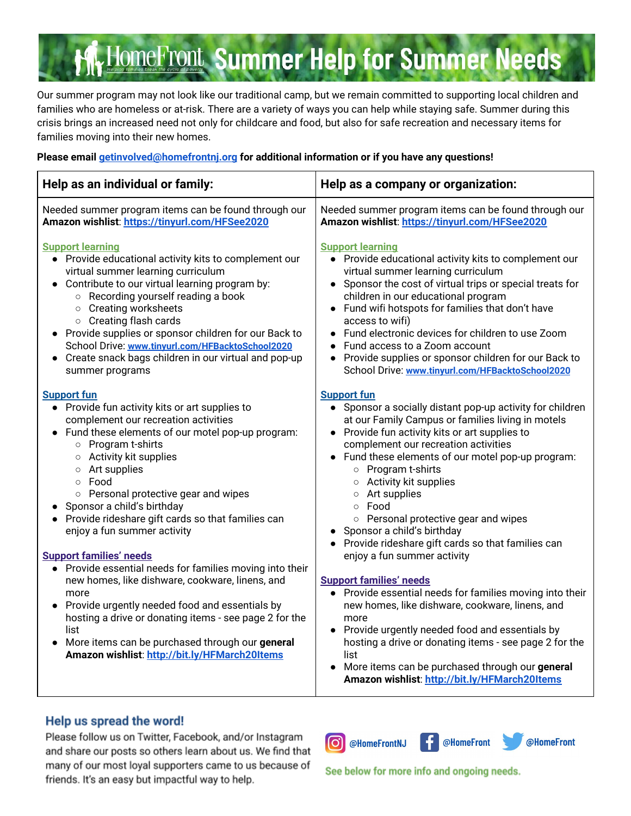# **HomeFront Summer Help for Summer Needs**

Our summer program may not look like our traditional camp, but we remain committed to supporting local children and families who are homeless or at-risk. There are a variety of ways you can help while staying safe. Summer during this crisis brings an increased need not only for childcare and food, but also for safe recreation and necessary items for families moving into their new homes.

### **Please email getinvolved@homefrontnj.org for additional information or if you have any questions!**

| Help as an individual or family:                                                                                                                                                                                                                                                                                                                                                                                                                                                                                                                                                                                                                                                                                                                                                           | Help as a company or organization:                                                                                                                                                                                                                                                                                                                                                                                                                                                                                                                                                                                                                                                                                                                                                                                                                                                                                     |
|--------------------------------------------------------------------------------------------------------------------------------------------------------------------------------------------------------------------------------------------------------------------------------------------------------------------------------------------------------------------------------------------------------------------------------------------------------------------------------------------------------------------------------------------------------------------------------------------------------------------------------------------------------------------------------------------------------------------------------------------------------------------------------------------|------------------------------------------------------------------------------------------------------------------------------------------------------------------------------------------------------------------------------------------------------------------------------------------------------------------------------------------------------------------------------------------------------------------------------------------------------------------------------------------------------------------------------------------------------------------------------------------------------------------------------------------------------------------------------------------------------------------------------------------------------------------------------------------------------------------------------------------------------------------------------------------------------------------------|
| Needed summer program items can be found through our                                                                                                                                                                                                                                                                                                                                                                                                                                                                                                                                                                                                                                                                                                                                       | Needed summer program items can be found through our                                                                                                                                                                                                                                                                                                                                                                                                                                                                                                                                                                                                                                                                                                                                                                                                                                                                   |
| Amazon wishlist: https://tinyurl.com/HFSee2020                                                                                                                                                                                                                                                                                                                                                                                                                                                                                                                                                                                                                                                                                                                                             | Amazon wishlist: https://tinyurl.com/HFSee2020                                                                                                                                                                                                                                                                                                                                                                                                                                                                                                                                                                                                                                                                                                                                                                                                                                                                         |
| <b>Support learning</b>                                                                                                                                                                                                                                                                                                                                                                                                                                                                                                                                                                                                                                                                                                                                                                    | <b>Support learning</b>                                                                                                                                                                                                                                                                                                                                                                                                                                                                                                                                                                                                                                                                                                                                                                                                                                                                                                |
| • Provide educational activity kits to complement our                                                                                                                                                                                                                                                                                                                                                                                                                                                                                                                                                                                                                                                                                                                                      | • Provide educational activity kits to complement our                                                                                                                                                                                                                                                                                                                                                                                                                                                                                                                                                                                                                                                                                                                                                                                                                                                                  |
| virtual summer learning curriculum                                                                                                                                                                                                                                                                                                                                                                                                                                                                                                                                                                                                                                                                                                                                                         | virtual summer learning curriculum                                                                                                                                                                                                                                                                                                                                                                                                                                                                                                                                                                                                                                                                                                                                                                                                                                                                                     |
| • Contribute to our virtual learning program by:                                                                                                                                                                                                                                                                                                                                                                                                                                                                                                                                                                                                                                                                                                                                           | • Sponsor the cost of virtual trips or special treats for                                                                                                                                                                                                                                                                                                                                                                                                                                                                                                                                                                                                                                                                                                                                                                                                                                                              |
| ○ Recording yourself reading a book                                                                                                                                                                                                                                                                                                                                                                                                                                                                                                                                                                                                                                                                                                                                                        | children in our educational program                                                                                                                                                                                                                                                                                                                                                                                                                                                                                                                                                                                                                                                                                                                                                                                                                                                                                    |
| o Creating worksheets                                                                                                                                                                                                                                                                                                                                                                                                                                                                                                                                                                                                                                                                                                                                                                      | • Fund wifi hotspots for families that don't have                                                                                                                                                                                                                                                                                                                                                                                                                                                                                                                                                                                                                                                                                                                                                                                                                                                                      |
| ○ Creating flash cards                                                                                                                                                                                                                                                                                                                                                                                                                                                                                                                                                                                                                                                                                                                                                                     | access to wifi)                                                                                                                                                                                                                                                                                                                                                                                                                                                                                                                                                                                                                                                                                                                                                                                                                                                                                                        |
| • Provide supplies or sponsor children for our Back to                                                                                                                                                                                                                                                                                                                                                                                                                                                                                                                                                                                                                                                                                                                                     | Fund electronic devices for children to use Zoom                                                                                                                                                                                                                                                                                                                                                                                                                                                                                                                                                                                                                                                                                                                                                                                                                                                                       |
| School Drive: www.tinyurl.com/HFBacktoSchool2020                                                                                                                                                                                                                                                                                                                                                                                                                                                                                                                                                                                                                                                                                                                                           | Fund access to a Zoom account                                                                                                                                                                                                                                                                                                                                                                                                                                                                                                                                                                                                                                                                                                                                                                                                                                                                                          |
| • Create snack bags children in our virtual and pop-up                                                                                                                                                                                                                                                                                                                                                                                                                                                                                                                                                                                                                                                                                                                                     | • Provide supplies or sponsor children for our Back to                                                                                                                                                                                                                                                                                                                                                                                                                                                                                                                                                                                                                                                                                                                                                                                                                                                                 |
| summer programs                                                                                                                                                                                                                                                                                                                                                                                                                                                                                                                                                                                                                                                                                                                                                                            | School Drive: www.tinyurl.com/HFBacktoSchool2020                                                                                                                                                                                                                                                                                                                                                                                                                                                                                                                                                                                                                                                                                                                                                                                                                                                                       |
| <b>Support fun</b><br>• Provide fun activity kits or art supplies to<br>complement our recreation activities<br>Fund these elements of our motel pop-up program:<br>o Program t-shirts<br>○ Activity kit supplies<br>○ Art supplies<br>o Food<br>○ Personal protective gear and wipes<br>• Sponsor a child's birthday<br>• Provide rideshare gift cards so that families can<br>enjoy a fun summer activity<br><b>Support families' needs</b><br>Provide essential needs for families moving into their<br>new homes, like dishware, cookware, linens, and<br>more<br>Provide urgently needed food and essentials by<br>hosting a drive or donating items - see page 2 for the<br>list<br>More items can be purchased through our general<br>Amazon wishlist: http://bit.ly/HFMarch20Items | <b>Support fun</b><br>• Sponsor a socially distant pop-up activity for children<br>at our Family Campus or families living in motels<br>Provide fun activity kits or art supplies to<br>complement our recreation activities<br>• Fund these elements of our motel pop-up program:<br>o Program t-shirts<br>○ Activity kit supplies<br>$\circ$ Art supplies<br>○ Food<br>o Personal protective gear and wipes<br>• Sponsor a child's birthday<br>• Provide rideshare gift cards so that families can<br>enjoy a fun summer activity<br><b>Support families' needs</b><br>• Provide essential needs for families moving into their<br>new homes, like dishware, cookware, linens, and<br>more<br>• Provide urgently needed food and essentials by<br>hosting a drive or donating items - see page 2 for the<br>list<br>More items can be purchased through our general<br>Amazon wishlist: http://bit.ly/HFMarch20Items |

### Help us spread the word!

Please follow us on Twitter, Facebook, and/or Instagram and share our posts so others learn about us. We find that many of our most loyal supporters came to us because of friends. It's an easy but impactful way to help.







See below for more info and ongoing needs.